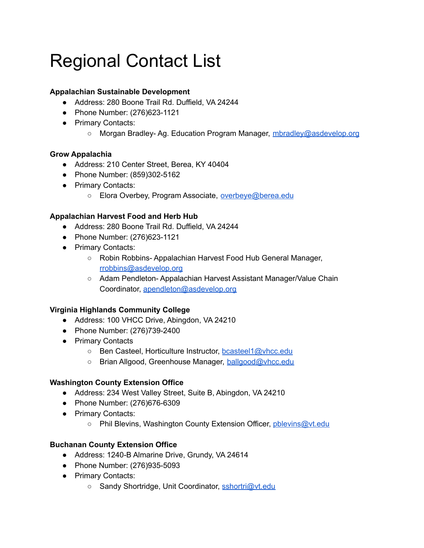# Regional Contact List

# **Appalachian Sustainable Development**

- Address: 280 Boone Trail Rd. Duffield, VA 24244
- Phone Number: (276)623-1121
- Primary Contacts:
	- Morgan Bradley- Ag. Education Program Manager, [mbradley@asdevelop.org](mailto:mbradley@asdevelop.org)

## **Grow Appalachia**

- Address: 210 Center Street, Berea, KY 40404
- Phone Number: (859)302-5162
- Primary Contacts:
	- Elora Overbey, Program Associate, [overbeye@berea.edu](mailto:overbeye@berea.edu)

#### **Appalachian Harvest Food and Herb Hub**

- Address: 280 Boone Trail Rd. Duffield, VA 24244
- Phone Number: (276)623-1121
- Primary Contacts:
	- Robin Robbins- Appalachian Harvest Food Hub General Manager, [rrobbins@asdevelop.org](mailto:rrobbins@asdevelop.org)
	- Adam Pendleton- Appalachian Harvest Assistant Manager/Value Chain Coordinator, [apendleton@asdevelop.org](mailto:apendleton@asdevelop.org)

## **Virginia Highlands Community College**

- Address: 100 VHCC Drive, Abingdon, VA 24210
- Phone Number: (276)739-2400
- Primary Contacts
	- Ben Casteel, Horticulture Instructor, [bcasteel1@vhcc.edu](mailto:bcasteel1@vhcc.edu)
	- Brian Allgood, Greenhouse Manager, [ballgood@vhcc.edu](mailto:ballgood@vhcc.edu)

#### **Washington County Extension Office**

- Address: 234 West Valley Street, Suite B, Abingdon, VA 24210
- Phone Number: (276)676-6309
- Primary Contacts:
	- Phil Blevins, Washington County Extension Officer, [pblevins@vt.edu](mailto:pblevins@vt.edu)

## **Buchanan County Extension Office**

- Address: 1240-B Almarine Drive, Grundy, VA 24614
- Phone Number: (276)935-5093
- Primary Contacts:
	- Sandy Shortridge, Unit Coordinator, [sshortri@vt.edu](mailto:sshortri@vt.edu)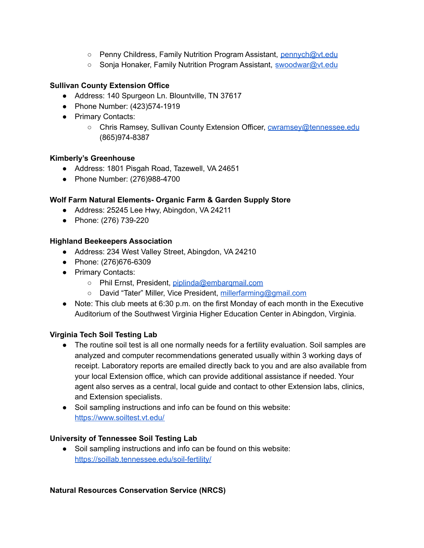- Penny Childress, Family Nutrition Program Assistant, [pennych@vt.edu](mailto:pennych@vt.edu)
- Sonja Honaker, Family Nutrition Program Assistant, [swoodwar@vt.edu](mailto:swoodwar@vt.edu)

#### **Sullivan County Extension Office**

- Address: 140 Spurgeon Ln. Blountville, TN 37617
- Phone Number: (423)574-1919
- Primary Contacts:
	- Chris Ramsey, Sullivan County Extension Officer, [cwramsey@tennessee.edu](mailto:cwramsey@tennessee.edu) (865)974-8387

#### **Kimberly's Greenhouse**

- Address: 1801 Pisgah Road, Tazewell, VA 24651
- Phone Number: (276)988-4700

#### **Wolf Farm Natural Elements- Organic Farm & Garden Supply Store**

- Address: 25245 Lee Hwy, Abingdon, VA 24211
- Phone: (276) 739-220

#### **Highland Beekeepers Association**

- Address: 234 West Valley Street, Abingdon, VA 24210
- Phone: (276)676-6309
- Primary Contacts:
	- Phil Ernst, President, [piplinda@embarqmail.com](mailto:piplinda@embarqmail.com)
	- o David "Tater" Miller, Vice President, [millerfarming@gmail.com](mailto:millerfarming@gmail.com)
- Note: This club meets at 6:30 p.m. on the first Monday of each month in the Executive Auditorium of the Southwest Virginia Higher Education Center in Abingdon, Virginia.

#### **Virginia Tech Soil Testing Lab**

- The routine soil test is all one normally needs for a fertility evaluation. Soil samples are analyzed and computer recommendations generated usually within 3 working days of receipt. Laboratory reports are emailed directly back to you and are also available from your local Extension office, which can provide additional assistance if needed. Your agent also serves as a central, local guide and contact to other Extension labs, clinics, and Extension specialists.
- Soil sampling instructions and info can be found on this website: <https://www.soiltest.vt.edu/>

#### **University of Tennessee Soil Testing Lab**

● Soil sampling instructions and info can be found on this website: <https://soillab.tennessee.edu/soil-fertility/>

#### **Natural Resources Conservation Service (NRCS)**